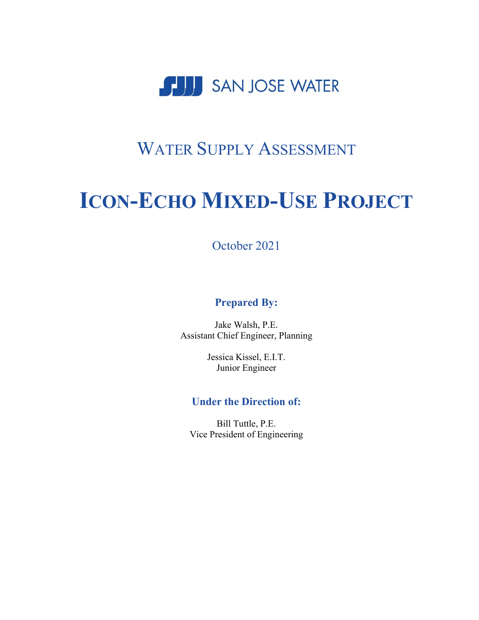

# WATER SUPPLY ASSESSMENT

# **ICON-ECHO MIXED-USE PROJECT**

October 2021

#### **Prepared By:**

Jake Walsh, P.E. Assistant Chief Engineer, Planning

> Jessica Kissel, E.I.T. Junior Engineer

#### **Under the Direction of:**

Bill Tuttle, P.E. Vice President of Engineering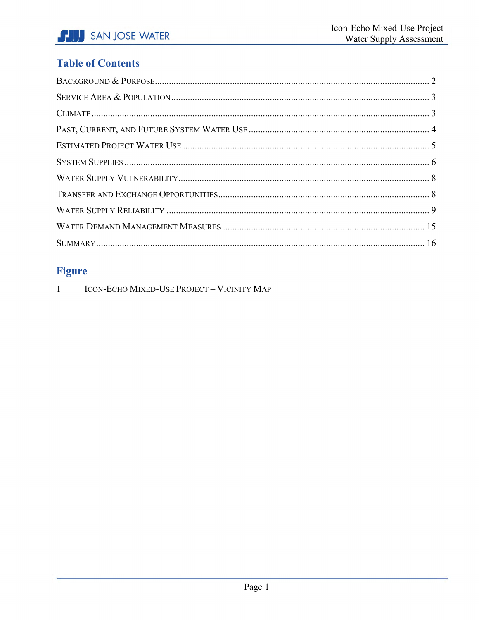### **Table of Contents**

## **Figure**

 $\overline{1}$ ICON-ECHO MIXED-USE PROJECT - VICINITY MAP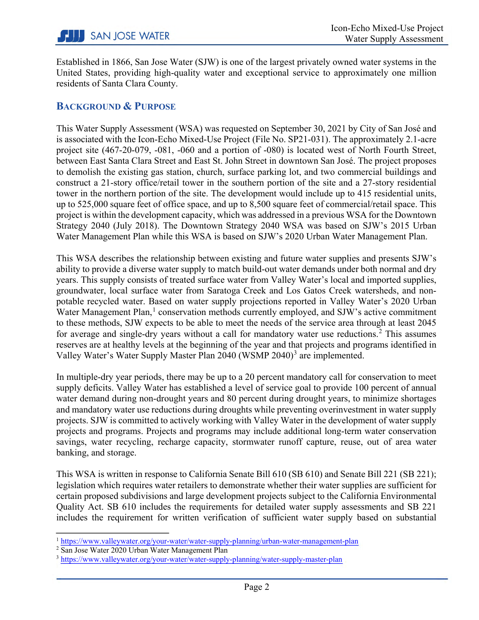Established in 1866, San Jose Water (SJW) is one of the largest privately owned water systems in the United States, providing high-quality water and exceptional service to approximately one million residents of Santa Clara County.

#### <span id="page-2-0"></span>**BACKGROUND & PURPOSE**

This Water Supply Assessment (WSA) was requested on September 30, 2021 by City of San José and is associated with the Icon-Echo Mixed-Use Project (File No. SP21-031). The approximately 2.1-acre project site (467-20-079, -081, -060 and a portion of -080) is located west of North Fourth Street, between East Santa Clara Street and East St. John Street in downtown San José. The project proposes to demolish the existing gas station, church, surface parking lot, and two commercial buildings and construct a 21-story office/retail tower in the southern portion of the site and a 27-story residential tower in the northern portion of the site. The development would include up to 415 residential units, up to 525,000 square feet of office space, and up to 8,500 square feet of commercial/retail space. This project is within the development capacity, which was addressed in a previous WSA for the Downtown Strategy 2040 (July 2018). The Downtown Strategy 2040 WSA was based on SJW's 2015 Urban Water Management Plan while this WSA is based on SJW's 2020 Urban Water Management Plan.

This WSA describes the relationship between existing and future water supplies and presents SJW's ability to provide a diverse water supply to match build-out water demands under both normal and dry years. This supply consists of treated surface water from Valley Water's local and imported supplies, groundwater, local surface water from Saratoga Creek and Los Gatos Creek watersheds, and nonpotable recycled water. Based on water supply projections reported in Valley Water's 2020 Urban Water Management Plan,<sup>[1](#page-2-1)</sup> conservation methods currently employed, and SJW's active commitment to these methods, SJW expects to be able to meet the needs of the service area through at least 2045 for average and single-dry years without a call for mandatory water use reductions. [2](#page-2-2) This assumes reserves are at healthy levels at the beginning of the year and that projects and programs identified in Valley Water's Water Supply Master Plan 2040 (WSMP 2040)<sup>[3](#page-2-3)</sup> are implemented.

In multiple-dry year periods, there may be up to a 20 percent mandatory call for conservation to meet supply deficits. Valley Water has established a level of service goal to provide 100 percent of annual water demand during non-drought years and 80 percent during drought years, to minimize shortages and mandatory water use reductions during droughts while preventing overinvestment in water supply projects. SJW is committed to actively working with Valley Water in the development of water supply projects and programs. Projects and programs may include additional long-term water conservation savings, water recycling, recharge capacity, stormwater runoff capture, reuse, out of area water banking, and storage.

This WSA is written in response to California Senate Bill 610 (SB 610) and Senate Bill 221 (SB 221); legislation which requires water retailers to demonstrate whether their water supplies are sufficient for certain proposed subdivisions and large development projects subject to the California Environmental Quality Act. SB 610 includes the requirements for detailed water supply assessments and SB 221 includes the requirement for written verification of sufficient water supply based on substantial

 $\overline{a}$ 

<span id="page-2-1"></span><sup>1</sup> <https://www.valleywater.org/your-water/water-supply-planning/urban-water-management-plan>

<span id="page-2-2"></span><sup>&</sup>lt;sup>2</sup> San Jose Water 2020 Urban Water Management Plan

<span id="page-2-3"></span><sup>&</sup>lt;sup>3</sup> <https://www.valleywater.org/your-water/water-supply-planning/water-supply-master-plan>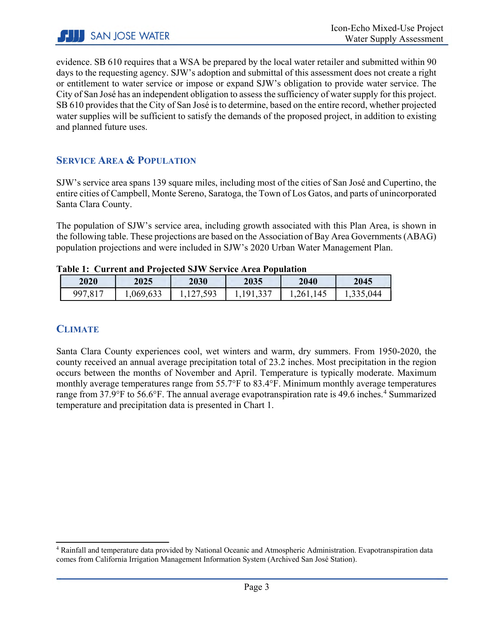evidence. SB 610 requires that a WSA be prepared by the local water retailer and submitted within 90 days to the requesting agency. SJW's adoption and submittal of this assessment does not create a right or entitlement to water service or impose or expand SJW's obligation to provide water service. The City of San José has an independent obligation to assess the sufficiency of water supply for this project. SB 610 provides that the City of San José is to determine, based on the entire record, whether projected water supplies will be sufficient to satisfy the demands of the proposed project, in addition to existing and planned future uses.

#### <span id="page-3-0"></span>**SERVICE AREA & POPULATION**

SJW's service area spans 139 square miles, including most of the cities of San José and Cupertino, the entire cities of Campbell, Monte Sereno, Saratoga, the Town of Los Gatos, and parts of unincorporated Santa Clara County.

The population of SJW's service area, including growth associated with this Plan Area, is shown in the following table. These projections are based on the Association of Bay Area Governments(ABAG) population projections and were included in SJW's 2020 Urban Water Management Plan.

| -------- |          | 2035             |                                           |           | 2045      |  |
|----------|----------|------------------|-------------------------------------------|-----------|-----------|--|
| 2020     | 2025     | 2030             |                                           | 2040      |           |  |
| 997,817  | ,069,633 | 27,593<br>1, 1/2 | .337<br>91<br>1,1 <i>,</i> 1, <i>JJ</i> , | 1,261,145 | .,335,044 |  |

**Table 1: Current and Projected SJW Service Area Population**

#### <span id="page-3-1"></span>**CLIMATE**

 $\overline{\phantom{a}}$ 

Santa Clara County experiences cool, wet winters and warm, dry summers. From 1950-2020, the county received an annual average precipitation total of 23.2 inches. Most precipitation in the region occurs between the months of November and April. Temperature is typically moderate. Maximum monthly average temperatures range from 55.7°F to 83.4°F. Minimum monthly average temperatures range from 37.9°F to 56.6°F. The annual average evapotranspiration rate is [4](#page-3-2)9.6 inches.<sup>4</sup> Summarized temperature and precipitation data is presented in Chart 1.

<span id="page-3-2"></span><sup>4</sup> Rainfall and temperature data provided by National Oceanic and Atmospheric Administration. Evapotranspiration data comes from California Irrigation Management Information System (Archived San José Station).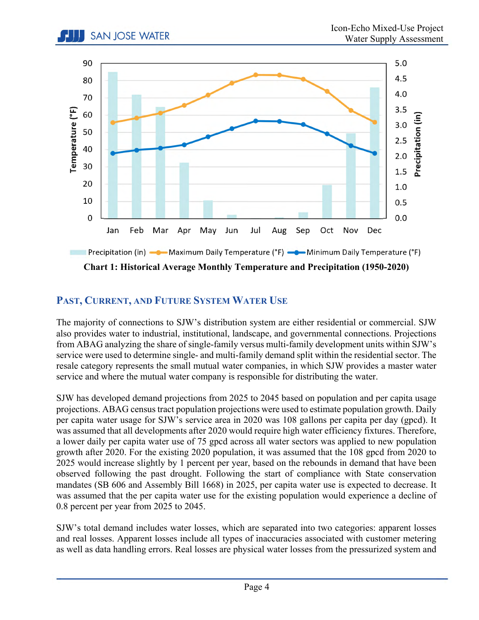

**Chart 1: Historical Average Monthly Temperature and Precipitation (1950-2020)** 

#### <span id="page-4-0"></span>**PAST, CURRENT, AND FUTURE SYSTEM WATER USE**

**I.** SAN JOSE WATER

The majority of connections to SJW's distribution system are either residential or commercial. SJW also provides water to industrial, institutional, landscape, and governmental connections. Projections from ABAG analyzing the share of single-family versus multi-family development units within SJW's service were used to determine single- and multi-family demand split within the residential sector. The resale category represents the small mutual water companies, in which SJW provides a master water service and where the mutual water company is responsible for distributing the water.

SJW has developed demand projections from 2025 to 2045 based on population and per capita usage projections. ABAG census tract population projections were used to estimate population growth. Daily per capita water usage for SJW's service area in 2020 was 108 gallons per capita per day (gpcd). It was assumed that all developments after 2020 would require high water efficiency fixtures. Therefore, a lower daily per capita water use of 75 gpcd across all water sectors was applied to new population growth after 2020. For the existing 2020 population, it was assumed that the 108 gpcd from 2020 to 2025 would increase slightly by 1 percent per year, based on the rebounds in demand that have been observed following the past drought. Following the start of compliance with State conservation mandates (SB 606 and Assembly Bill 1668) in 2025, per capita water use is expected to decrease. It was assumed that the per capita water use for the existing population would experience a decline of 0.8 percent per year from 2025 to 2045.

SJW's total demand includes water losses, which are separated into two categories: apparent losses and real losses. Apparent losses include all types of inaccuracies associated with customer metering as well as data handling errors. Real losses are physical water losses from the pressurized system and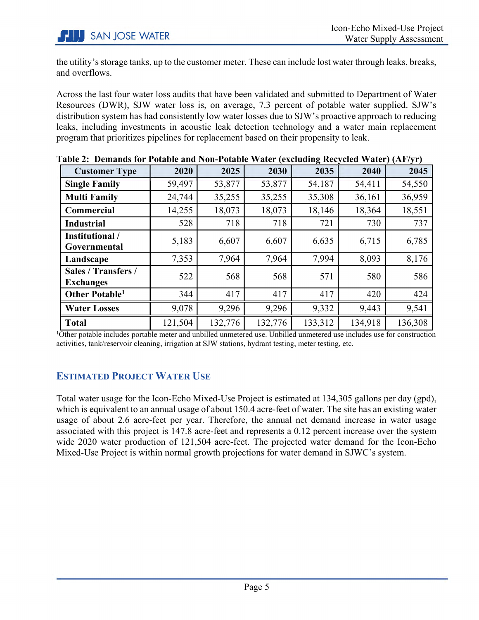the utility's storage tanks, up to the customer meter. These can include lost water through leaks, breaks, and overflows.

Across the last four water loss audits that have been validated and submitted to Department of Water Resources (DWR), SJW water loss is, on average, 7.3 percent of potable water supplied. SJW's distribution system has had consistently low water losses due to SJW's proactive approach to reducing leaks, including investments in acoustic leak detection technology and a water main replacement program that prioritizes pipelines for replacement based on their propensity to leak.

|                                                                                                                                     |         |         |         | $\mathbf{u}_{\mathbf{z}}$ not generally |         | $(1 - 1)$ |
|-------------------------------------------------------------------------------------------------------------------------------------|---------|---------|---------|-----------------------------------------|---------|-----------|
| <b>Customer Type</b>                                                                                                                | 2020    | 2025    | 2030    | 2035                                    | 2040    | 2045      |
| <b>Single Family</b>                                                                                                                | 59,497  | 53,877  | 53,877  | 54,187                                  | 54,411  | 54,550    |
| <b>Multi Family</b>                                                                                                                 | 24,744  | 35,255  | 35,255  | 35,308                                  | 36,161  | 36,959    |
| <b>Commercial</b>                                                                                                                   | 14,255  | 18,073  | 18,073  | 18,146                                  | 18,364  | 18,551    |
| <b>Industrial</b>                                                                                                                   | 528     | 718     | 718     | 721                                     | 730     | 737       |
| <b>Institutional</b> /<br>Governmental                                                                                              | 5,183   | 6,607   | 6,607   | 6,635                                   | 6,715   | 6,785     |
| Landscape                                                                                                                           | 7,353   | 7,964   | 7,964   | 7,994                                   | 8,093   | 8,176     |
| Sales / Transfers /<br><b>Exchanges</b>                                                                                             | 522     | 568     | 568     | 571                                     | 580     | 586       |
| Other Potable <sup>1</sup>                                                                                                          | 344     | 417     | 417     | 417                                     | 420     | 424       |
| <b>Water Losses</b>                                                                                                                 | 9,078   | 9,296   | 9,296   | 9,332                                   | 9,443   | 9,541     |
| <b>Total</b>                                                                                                                        | 121,504 | 132,776 | 132,776 | 133,312                                 | 134,918 | 136,308   |
| <sup>1</sup> Other potable includes portable meter and unbilled unmetered use. Unbilled unmetered use includes use for construction |         |         |         |                                         |         |           |

**Table 2: Demands for Potable and Non-Potable Water (excluding Recycled Water) (AF/yr)**

activities, tank/reservoir cleaning, irrigation at SJW stations, hydrant testing, meter testing, etc.

#### <span id="page-5-0"></span>**ESTIMATED PROJECT WATER USE**

Total water usage for the Icon-Echo Mixed-Use Project is estimated at 134,305 gallons per day (gpd), which is equivalent to an annual usage of about 150.4 acre-feet of water. The site has an existing water usage of about 2.6 acre-feet per year. Therefore, the annual net demand increase in water usage associated with this project is 147.8 acre-feet and represents a 0.12 percent increase over the system wide 2020 water production of 121,504 acre-feet. The projected water demand for the Icon-Echo Mixed-Use Project is within normal growth projections for water demand in SJWC's system.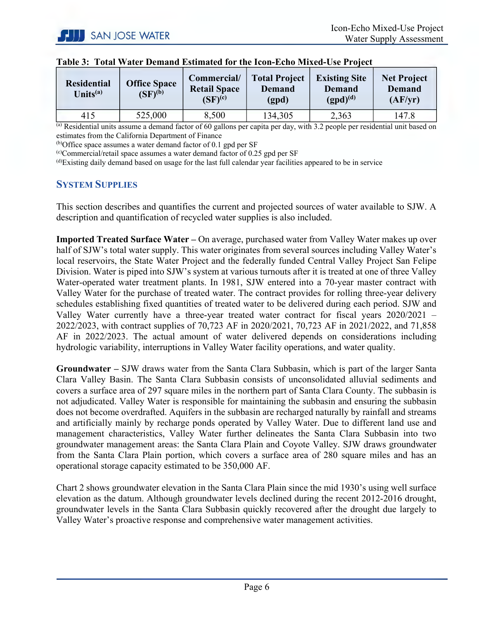| <b>Residential</b><br>Units $(a)$ | <b>Office Space</b><br>$(SF)^{(b)}$ | Commercial/<br><b>Retail Space</b><br>$(SF)^{(c)}$ | <b>Total Project</b><br><b>Demand</b><br>(gpd) | <b>Existing Site</b><br><b>Demand</b><br>$(gpd)^{(d)}$ | <b>Net Project</b><br><b>Demand</b><br>(AF/yr) |
|-----------------------------------|-------------------------------------|----------------------------------------------------|------------------------------------------------|--------------------------------------------------------|------------------------------------------------|
| 415                               | 525,000                             | 8,500                                              | 134,305                                        | 2,363                                                  | 147.8                                          |

|  |  | Table 3: Total Water Demand Estimated for the Icon-Echo Mixed-Use Project |  |  |  |
|--|--|---------------------------------------------------------------------------|--|--|--|
|--|--|---------------------------------------------------------------------------|--|--|--|

 $\overline{a}$ ) Residential units assume a demand factor of 60 gallons per capita per day, with 3.2 people per residential unit based on estimates from the California Department of Finance

 $(b)$ Office space assumes a water demand factor of 0.1 gpd per SF

 $\alpha$ <sup>(c)</sup>Commercial/retail space assumes a water demand factor of 0.25 gpd per SF

<span id="page-6-0"></span>(d)Existing daily demand based on usage for the last full calendar year facilities appeared to be in service

#### **SYSTEM SUPPLIES**

This section describes and quantifies the current and projected sources of water available to SJW. A description and quantification of recycled water supplies is also included.

**Imported Treated Surface Water –** On average, purchased water from Valley Water makes up over half of SJW's total water supply. This water originates from several sources including Valley Water's local reservoirs, the State Water Project and the federally funded Central Valley Project San Felipe Division. Water is piped into SJW's system at various turnouts after it is treated at one of three Valley Water-operated water treatment plants. In 1981, SJW entered into a 70-year master contract with Valley Water for the purchase of treated water. The contract provides for rolling three-year delivery schedules establishing fixed quantities of treated water to be delivered during each period. SJW and Valley Water currently have a three-year treated water contract for fiscal years 2020/2021 – 2022/2023, with contract supplies of 70,723 AF in 2020/2021, 70,723 AF in 2021/2022, and 71,858 AF in 2022/2023. The actual amount of water delivered depends on considerations including hydrologic variability, interruptions in Valley Water facility operations, and water quality.

**Groundwater –** SJW draws water from the Santa Clara Subbasin, which is part of the larger Santa Clara Valley Basin. The Santa Clara Subbasin consists of unconsolidated alluvial sediments and covers a surface area of 297 square miles in the northern part of Santa Clara County. The subbasin is not adjudicated. Valley Water is responsible for maintaining the subbasin and ensuring the subbasin does not become overdrafted. Aquifers in the subbasin are recharged naturally by rainfall and streams and artificially mainly by recharge ponds operated by Valley Water. Due to different land use and management characteristics, Valley Water further delineates the Santa Clara Subbasin into two groundwater management areas: the Santa Clara Plain and Coyote Valley. SJW draws groundwater from the Santa Clara Plain portion, which covers a surface area of 280 square miles and has an operational storage capacity estimated to be 350,000 AF.

Chart 2 shows groundwater elevation in the Santa Clara Plain since the mid 1930's using well surface elevation as the datum. Although groundwater levels declined during the recent 2012-2016 drought, groundwater levels in the Santa Clara Subbasin quickly recovered after the drought due largely to Valley Water's proactive response and comprehensive water management activities.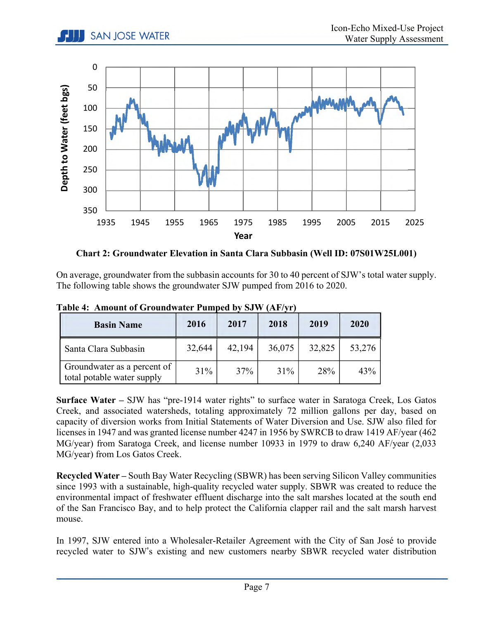**ISAN JOSE WATER** 



**Chart 2: Groundwater Elevation in Santa Clara Subbasin (Well ID: 07S01W25L001)** 

On average, groundwater from the subbasin accounts for 30 to 40 percent of SJW's total water supply. The following table shows the groundwater SJW pumped from 2016 to 2020.

| <b>Basin Name</b>                                         | 2016   | 2017   | 2018   | 2019   | 2020   |
|-----------------------------------------------------------|--------|--------|--------|--------|--------|
| Santa Clara Subbasin                                      | 32,644 | 42,194 | 36,075 | 32,825 | 53,276 |
| Groundwater as a percent of<br>total potable water supply | 31%    | 37%    | 31%    | 28%    | 43%    |

**Table 4: Amount of Groundwater Pumped by SJW (AF/yr)**

**Surface Water –** SJW has "pre-1914 water rights" to surface water in Saratoga Creek, Los Gatos Creek, and associated watersheds, totaling approximately 72 million gallons per day, based on capacity of diversion works from Initial Statements of Water Diversion and Use. SJW also filed for licenses in 1947 and was granted license number 4247 in 1956 by SWRCB to draw 1419 AF/year (462 MG/year) from Saratoga Creek, and license number 10933 in 1979 to draw 6,240 AF/year (2,033 MG/year) from Los Gatos Creek.

**Recycled Water –** South Bay Water Recycling (SBWR) has been serving Silicon Valley communities since 1993 with a sustainable, high-quality recycled water supply. SBWR was created to reduce the environmental impact of freshwater effluent discharge into the salt marshes located at the south end of the San Francisco Bay, and to help protect the California clapper rail and the salt marsh harvest mouse.

In 1997, SJW entered into a Wholesaler-Retailer Agreement with the City of San José to provide recycled water to SJW's existing and new customers nearby SBWR recycled water distribution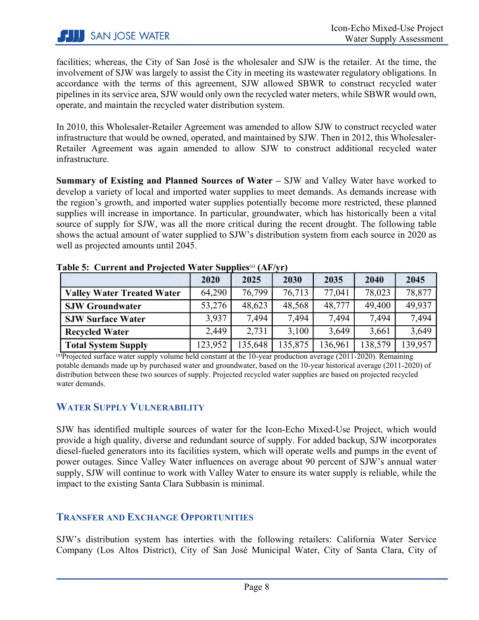facilities; whereas, the City of San José is the wholesaler and SJW is the retailer. At the time, the involvement of SJW was largely to assist the City in meeting its wastewater regulatory obligations. In accordance with the terms of this agreement, SJW allowed SBWR to construct recycled water pipelines in its service area, SJW would only own the recycled water meters, while SBWR would own, operate, and maintain the recycled water distribution system.

In 2010, this Wholesaler-Retailer Agreement was amended to allow SJW to construct recycled water infrastructure that would be owned, operated, and maintained by SJW. Then in 2012, this Wholesaler-Retailer Agreement was again amended to allow SJW to construct additional recycled water infrastructure.

**Summary of Existing and Planned Sources of Water –** SJW and Valley Water have worked to develop a variety of local and imported water supplies to meet demands. As demands increase with the region's growth, and imported water supplies potentially become more restricted, these planned supplies will increase in importance. In particular, groundwater, which has historically been a vital source of supply for SJW, was all the more critical during the recent drought. The following table shows the actual amount of water supplied to SJW's distribution system from each source in 2020 as well as projected amounts until 2045.

|                                   | 2020    | 2025    | 2030    | 2035    | 2040    | 2045    |
|-----------------------------------|---------|---------|---------|---------|---------|---------|
| <b>Valley Water Treated Water</b> | 64,290  | 76,799  | 76,713  | 77,041  | 78,023  | 78,877  |
| <b>SJW Groundwater</b>            | 53,276  | 48,623  | 48,568  | 48,777  | 49,400  | 49.937  |
| <b>SJW Surface Water</b>          | 3.937   | 7.494   | 7,494   | 7,494   | 7,494   | 7,494   |
| <b>Recycled Water</b>             | 2,449   | 2,731   | 3,100   | 3,649   | 3,661   | 3,649   |
| <b>Total System Supply</b>        | 123,952 | 135,648 | 135,875 | 136,961 | 138,579 | 139,957 |

**Table 5: Current and Projected Water Supplies**(a) **(AF/yr)** 

 $^{(a)}$ Projected surface water supply volume held constant at the 10-year production average (2011-2020). Remaining potable demands made up by purchased water and groundwater, based on the 10-year historical average (2011-2020) of distribution between these two sources of supply. Projected recycled water supplies are based on projected recycled water demands.

#### <span id="page-8-0"></span>**WATER SUPPLY VULNERABILITY**

SJW has identified multiple sources of water for the Icon-Echo Mixed-Use Project, which would provide a high quality, diverse and redundant source of supply. For added backup, SJW incorporates diesel-fueled generators into its facilities system, which will operate wells and pumps in the event of power outages. Since Valley Water influences on average about 90 percent of SJW's annual water supply, SJW will continue to work with Valley Water to ensure its water supply is reliable, while the impact to the existing Santa Clara Subbasin is minimal.

#### <span id="page-8-1"></span>**TRANSFER AND EXCHANGE OPPORTUNITIES**

SJW's distribution system has interties with the following retailers: California Water Service Company (Los Altos District), City of San José Municipal Water, City of Santa Clara, City of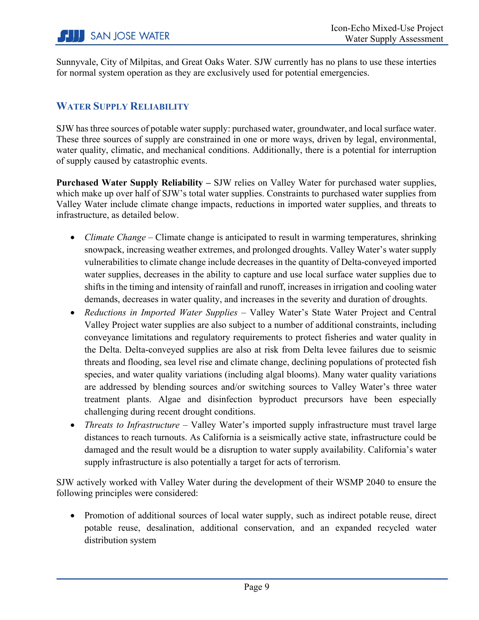Sunnyvale, City of Milpitas, and Great Oaks Water. SJW currently has no plans to use these interties for normal system operation as they are exclusively used for potential emergencies.

#### <span id="page-9-0"></span>**WATER SUPPLY RELIABILITY**

SJW has three sources of potable water supply: purchased water, groundwater, and local surface water. These three sources of supply are constrained in one or more ways, driven by legal, environmental, water quality, climatic, and mechanical conditions. Additionally, there is a potential for interruption of supply caused by catastrophic events.

**Purchased Water Supply Reliability –** SJW relies on Valley Water for purchased water supplies, which make up over half of SJW's total water supplies. Constraints to purchased water supplies from Valley Water include climate change impacts, reductions in imported water supplies, and threats to infrastructure, as detailed below.

- *Climate Change* Climate change is anticipated to result in warming temperatures, shrinking snowpack, increasing weather extremes, and prolonged droughts. Valley Water's water supply vulnerabilities to climate change include decreases in the quantity of Delta-conveyed imported water supplies, decreases in the ability to capture and use local surface water supplies due to shifts in the timing and intensity of rainfall and runoff, increases in irrigation and cooling water demands, decreases in water quality, and increases in the severity and duration of droughts.
- *Reductions in Imported Water Supplies* Valley Water's State Water Project and Central Valley Project water supplies are also subject to a number of additional constraints, including conveyance limitations and regulatory requirements to protect fisheries and water quality in the Delta. Delta-conveyed supplies are also at risk from Delta levee failures due to seismic threats and flooding, sea level rise and climate change, declining populations of protected fish species, and water quality variations (including algal blooms). Many water quality variations are addressed by blending sources and/or switching sources to Valley Water's three water treatment plants. Algae and disinfection byproduct precursors have been especially challenging during recent drought conditions.
- *Threats to Infrastructure* Valley Water's imported supply infrastructure must travel large distances to reach turnouts. As California is a seismically active state, infrastructure could be damaged and the result would be a disruption to water supply availability. California's water supply infrastructure is also potentially a target for acts of terrorism.

SJW actively worked with Valley Water during the development of their WSMP 2040 to ensure the following principles were considered:

• Promotion of additional sources of local water supply, such as indirect potable reuse, direct potable reuse, desalination, additional conservation, and an expanded recycled water distribution system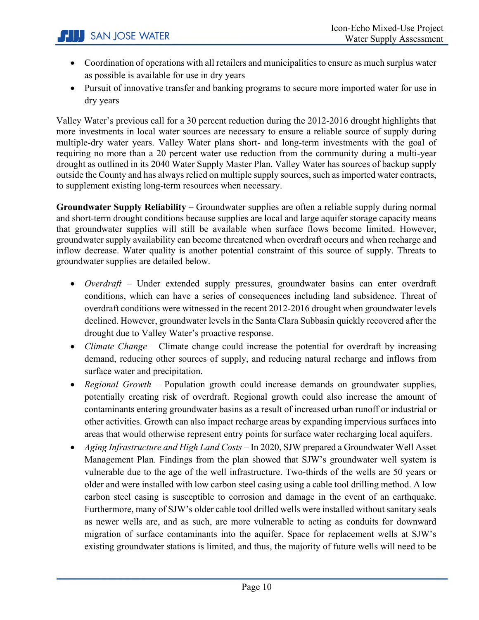- Coordination of operations with all retailers and municipalities to ensure as much surplus water as possible is available for use in dry years
- Pursuit of innovative transfer and banking programs to secure more imported water for use in dry years

Valley Water's previous call for a 30 percent reduction during the 2012-2016 drought highlights that more investments in local water sources are necessary to ensure a reliable source of supply during multiple-dry water years. Valley Water plans short- and long-term investments with the goal of requiring no more than a 20 percent water use reduction from the community during a multi-year drought as outlined in its 2040 Water Supply Master Plan. Valley Water has sources of backup supply outside the County and has always relied on multiple supply sources, such as imported water contracts, to supplement existing long-term resources when necessary.

**Groundwater Supply Reliability –** Groundwater supplies are often a reliable supply during normal and short-term drought conditions because supplies are local and large aquifer storage capacity means that groundwater supplies will still be available when surface flows become limited. However, groundwater supply availability can become threatened when overdraft occurs and when recharge and inflow decrease. Water quality is another potential constraint of this source of supply. Threats to groundwater supplies are detailed below.

- *Overdraft* Under extended supply pressures, groundwater basins can enter overdraft conditions, which can have a series of consequences including land subsidence. Threat of overdraft conditions were witnessed in the recent 2012-2016 drought when groundwater levels declined. However, groundwater levels in the Santa Clara Subbasin quickly recovered after the drought due to Valley Water's proactive response.
- *Climate Change* Climate change could increase the potential for overdraft by increasing demand, reducing other sources of supply, and reducing natural recharge and inflows from surface water and precipitation.
- *Regional Growth* Population growth could increase demands on groundwater supplies, potentially creating risk of overdraft. Regional growth could also increase the amount of contaminants entering groundwater basins as a result of increased urban runoff or industrial or other activities. Growth can also impact recharge areas by expanding impervious surfaces into areas that would otherwise represent entry points for surface water recharging local aquifers.
- *Aging Infrastructure and High Land Costs –* In 2020, SJW prepared a Groundwater Well Asset Management Plan. Findings from the plan showed that SJW's groundwater well system is vulnerable due to the age of the well infrastructure. Two-thirds of the wells are 50 years or older and were installed with low carbon steel casing using a cable tool drilling method. A low carbon steel casing is susceptible to corrosion and damage in the event of an earthquake. Furthermore, many of SJW's older cable tool drilled wells were installed without sanitary seals as newer wells are, and as such, are more vulnerable to acting as conduits for downward migration of surface contaminants into the aquifer. Space for replacement wells at SJW's existing groundwater stations is limited, and thus, the majority of future wells will need to be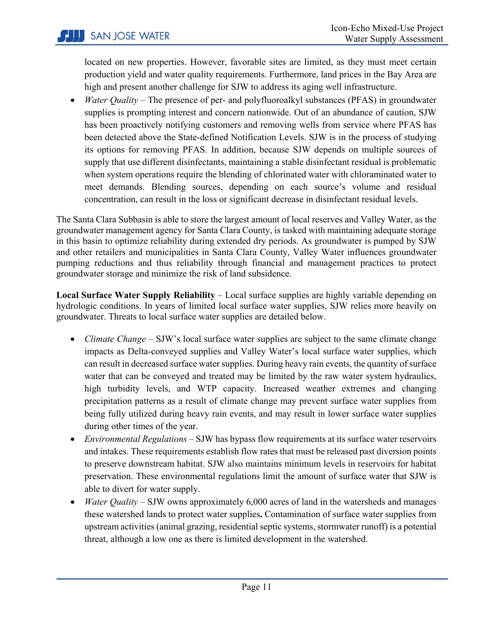located on new properties. However, favorable sites are limited, as they must meet certain production yield and water quality requirements. Furthermore, land prices in the Bay Area are high and present another challenge for SJW to address its aging well infrastructure.

• *Water Quality* – The presence of per- and polyfluoroalkyl substances (PFAS) in groundwater supplies is prompting interest and concern nationwide. Out of an abundance of caution, SJW has been proactively notifying customers and removing wells from service where PFAS has been detected above the State-defined Notification Levels. SJW is in the process of studying its options for removing PFAS. In addition, because SJW depends on multiple sources of supply that use different disinfectants, maintaining a stable disinfectant residual is problematic when system operations require the blending of chlorinated water with chloraminated water to meet demands. Blending sources, depending on each source's volume and residual concentration, can result in the loss or significant decrease in disinfectant residual levels.

The Santa Clara Subbasin is able to store the largest amount of local reserves and Valley Water, as the groundwater management agency for Santa Clara County, is tasked with maintaining adequate storage in this basin to optimize reliability during extended dry periods. As groundwater is pumped by SJW and other retailers and municipalities in Santa Clara County, Valley Water influences groundwater pumping reductions and thus reliability through financial and management practices to protect groundwater storage and minimize the risk of land subsidence.

**Local Surface Water Supply Reliability** – Local surface supplies are highly variable depending on hydrologic conditions. In years of limited local surface water supplies, SJW relies more heavily on groundwater. Threats to local surface water supplies are detailed below.

- *Climate Change* SJW's local surface water supplies are subject to the same climate change impacts as Delta-conveyed supplies and Valley Water's local surface water supplies, which can result in decreased surface water supplies. During heavy rain events, the quantity of surface water that can be conveyed and treated may be limited by the raw water system hydraulics, high turbidity levels, and WTP capacity. Increased weather extremes and changing precipitation patterns as a result of climate change may prevent surface water supplies from being fully utilized during heavy rain events, and may result in lower surface water supplies during other times of the year.
- *Environmental Regulations* SJW has bypass flow requirements at its surface water reservoirs and intakes. These requirements establish flow rates that must be released past diversion points to preserve downstream habitat. SJW also maintains minimum levels in reservoirs for habitat preservation. These environmental regulations limit the amount of surface water that SJW is able to divert for water supply.
- *Water Quality* SJW owns approximately 6,000 acres of land in the watersheds and manages these watershed lands to protect water supplies**.** Contamination of surface water supplies from upstream activities (animal grazing, residential septic systems, stormwater runoff) is a potential threat, although a low one as there is limited development in the watershed.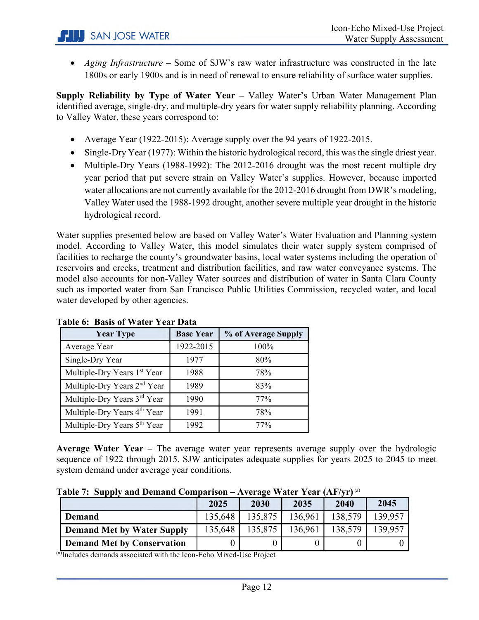• *Aging Infrastructure* – Some of SJW's raw water infrastructure was constructed in the late 1800s or early 1900s and is in need of renewal to ensure reliability of surface water supplies.

**Supply Reliability by Type of Water Year –** Valley Water's Urban Water Management Plan identified average, single-dry, and multiple-dry years for water supply reliability planning. According to Valley Water, these years correspond to:

- Average Year (1922-2015): Average supply over the 94 years of 1922-2015.
- Single-Dry Year (1977): Within the historic hydrological record, this was the single driest year.
- Multiple-Dry Years (1988-1992): The 2012-2016 drought was the most recent multiple dry year period that put severe strain on Valley Water's supplies. However, because imported water allocations are not currently available for the 2012-2016 drought from DWR's modeling, Valley Water used the 1988-1992 drought, another severe multiple year drought in the historic hydrological record.

Water supplies presented below are based on Valley Water's Water Evaluation and Planning system model. According to Valley Water, this model simulates their water supply system comprised of facilities to recharge the county's groundwater basins, local water systems including the operation of reservoirs and creeks, treatment and distribution facilities, and raw water conveyance systems. The model also accounts for non-Valley Water sources and distribution of water in Santa Clara County such as imported water from San Francisco Public Utilities Commission, recycled water, and local water developed by other agencies.

| <b>Year Type</b>                        | <b>Base Year</b> | % of Average Supply |
|-----------------------------------------|------------------|---------------------|
| Average Year                            | 1922-2015        | 100%                |
| Single-Dry Year                         | 1977             | 80%                 |
| Multiple-Dry Years 1st Year             | 1988             | 78%                 |
| Multiple-Dry Years 2 <sup>nd</sup> Year | 1989             | 83%                 |
| Multiple-Dry Years 3rd Year             | 1990             | 77%                 |
| Multiple-Dry Years 4 <sup>th</sup> Year | 1991             | 78%                 |
| Multiple-Dry Years 5 <sup>th</sup> Year | 1992             | 77%                 |

#### **Table 6: Basis of Water Year Data**

**Average Water Year –** The average water year represents average supply over the hydrologic sequence of 1922 through 2015. SJW anticipates adequate supplies for years 2025 to 2045 to meet system demand under average year conditions.

|  | Table 7: Supply and Demand Comparison – Average Water Year $(AF/yr)^{^{(a)}}$ |  |  |
|--|-------------------------------------------------------------------------------|--|--|
|  |                                                                               |  |  |

|                                   | 2025    | 2030    | 2035    | 2040    | 2045    |
|-----------------------------------|---------|---------|---------|---------|---------|
| <b>Demand</b>                     | 135,648 | 135,875 | 136.961 | 138,579 | 139.957 |
| <b>Demand Met by Water Supply</b> | 135,648 | 135,875 | 136.961 | 138,579 | 139,957 |
| <b>Demand Met by Conservation</b> |         |         |         |         |         |

(a)Includes demands associated with the Icon-Echo Mixed-Use Project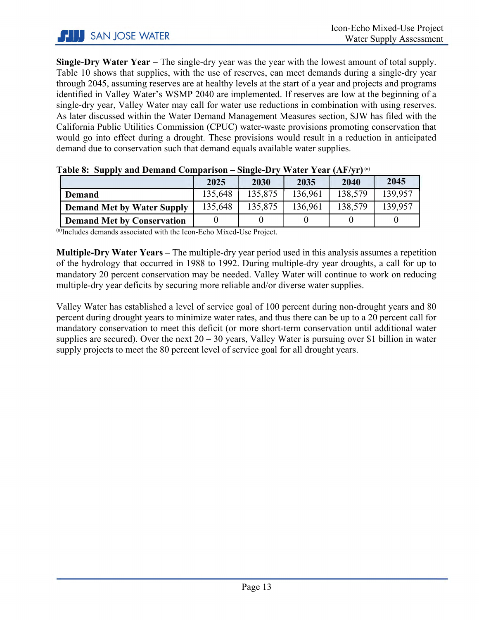**Single-Dry Water Year –** The single-dry year was the year with the lowest amount of total supply. Table 10 shows that supplies, with the use of reserves, can meet demands during a single-dry year through 2045, assuming reserves are at healthy levels at the start of a year and projects and programs identified in Valley Water's WSMP 2040 are implemented. If reserves are low at the beginning of a single-dry year, Valley Water may call for water use reductions in combination with using reserves. As later discussed within the Water Demand Management Measures section, SJW has filed with the California Public Utilities Commission (CPUC) water-waste provisions promoting conservation that would go into effect during a drought. These provisions would result in a reduction in anticipated demand due to conservation such that demand equals available water supplies.

| Tabit 0. Supply and Demand Comparison<br>$OIII$ $C$ $D$ $I$<br>$\mathbf{v}$ and $\mathbf{u}$ and $\mathbf{u}$ |         |         |         |         |         |  |  |
|---------------------------------------------------------------------------------------------------------------|---------|---------|---------|---------|---------|--|--|
|                                                                                                               | 2025    | 2030    | 2035    | 2040    | 2045    |  |  |
| Demand                                                                                                        | 135,648 | 135,875 | 136,961 | 138,579 | 139,957 |  |  |
| <b>Demand Met by Water Supply</b>                                                                             | 135,648 | 135,875 | 136,961 | 138,579 | 139,957 |  |  |
| <b>Demand Met by Conservation</b>                                                                             |         |         |         |         |         |  |  |

|  | Table 8: Supply and Demand Comparison – Single-Dry Water Year (AF/yr) <sup>(a)</sup> |  |  |
|--|--------------------------------------------------------------------------------------|--|--|
|  |                                                                                      |  |  |

(a)Includes demands associated with the Icon-Echo Mixed-Use Project.

**Multiple-Dry Water Years –** The multiple-dry year period used in this analysis assumes a repetition of the hydrology that occurred in 1988 to 1992. During multiple-dry year droughts, a call for up to mandatory 20 percent conservation may be needed. Valley Water will continue to work on reducing multiple-dry year deficits by securing more reliable and/or diverse water supplies.

Valley Water has established a level of service goal of 100 percent during non-drought years and 80 percent during drought years to minimize water rates, and thus there can be up to a 20 percent call for mandatory conservation to meet this deficit (or more short-term conservation until additional water supplies are secured). Over the next  $20 - 30$  years, Valley Water is pursuing over \$1 billion in water supply projects to meet the 80 percent level of service goal for all drought years.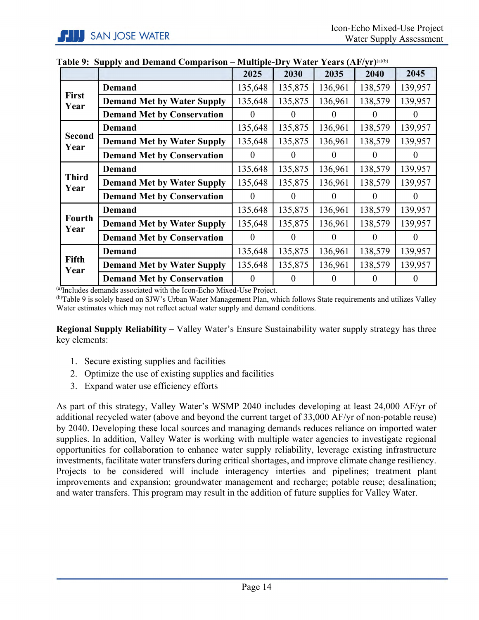|                       |                                   | 2025     | 2030           | 2035     | 2040     | 2045              |
|-----------------------|-----------------------------------|----------|----------------|----------|----------|-------------------|
| <b>First</b><br>Year  | <b>Demand</b>                     | 135,648  | 135,875        | 136,961  | 138,579  | 139,957           |
|                       | <b>Demand Met by Water Supply</b> | 135,648  | 135,875        | 136,961  | 138,579  | 139,957           |
|                       | <b>Demand Met by Conservation</b> | 0        | $\theta$       | $\Omega$ | $\theta$ | 0                 |
| <b>Second</b><br>Year | <b>Demand</b>                     | 135,648  | 135,875        | 136,961  | 138,579  | 139,957           |
|                       | <b>Demand Met by Water Supply</b> | 135,648  | 135,875        | 136,961  | 138,579  | 139,957           |
|                       | <b>Demand Met by Conservation</b> | $\Omega$ | $\Omega$       | $\Omega$ | $\theta$ | $\mathbf{\Omega}$ |
| <b>Third</b><br>Year  | <b>Demand</b>                     | 135,648  | 135,875        | 136,961  | 138,579  | 139,957           |
|                       | <b>Demand Met by Water Supply</b> | 135,648  | 135,875        | 136,961  | 138,579  | 139,957           |
|                       | <b>Demand Met by Conservation</b> | $\Omega$ | $\Omega$       | $\theta$ | $\theta$ | $\Omega$          |
| <b>Fourth</b><br>Year | <b>Demand</b>                     | 135,648  | 135,875        | 136,961  | 138,579  | 139,957           |
|                       | <b>Demand Met by Water Supply</b> | 135,648  | 135,875        | 136,961  | 138,579  | 139,957           |
|                       | <b>Demand Met by Conservation</b> | $\Omega$ | $\theta$       | $\theta$ | $\theta$ | $\theta$          |
| <b>Fifth</b><br>Year  | <b>Demand</b>                     | 135,648  | 135,875        | 136,961  | 138,579  | 139,957           |
|                       | <b>Demand Met by Water Supply</b> | 135,648  | 135,875        | 136,961  | 138,579  | 139,957           |
|                       | <b>Demand Met by Conservation</b> | $\theta$ | $\overline{0}$ | $\theta$ | $\theta$ | $\theta$          |

#### **Table 9: Supply and Demand Comparison – Multiple-Dry Water Years (AF/yr)**(a)(b)

(a)Includes demands associated with the Icon-Echo Mixed-Use Project.<br>
(b)Table 9 is solely based on SJW's Urban Water Management Plan, which follows State requirements and utilizes Valley Water estimates which may not reflect actual water supply and demand conditions.

**Regional Supply Reliability –** Valley Water's Ensure Sustainability water supply strategy has three key elements:

- 1. Secure existing supplies and facilities
- 2. Optimize the use of existing supplies and facilities
- 3. Expand water use efficiency efforts

<span id="page-14-0"></span>As part of this strategy, Valley Water's WSMP 2040 includes developing at least 24,000 AF/yr of additional recycled water (above and beyond the current target of 33,000 AF/yr of non-potable reuse) by 2040. Developing these local sources and managing demands reduces reliance on imported water supplies. In addition, Valley Water is working with multiple water agencies to investigate regional opportunities for collaboration to enhance water supply reliability, leverage existing infrastructure investments, facilitate water transfers during critical shortages, and improve climate change resiliency. Projects to be considered will include interagency interties and pipelines; treatment plant improvements and expansion; groundwater management and recharge; potable reuse; desalination; and water transfers. This program may result in the addition of future supplies for Valley Water.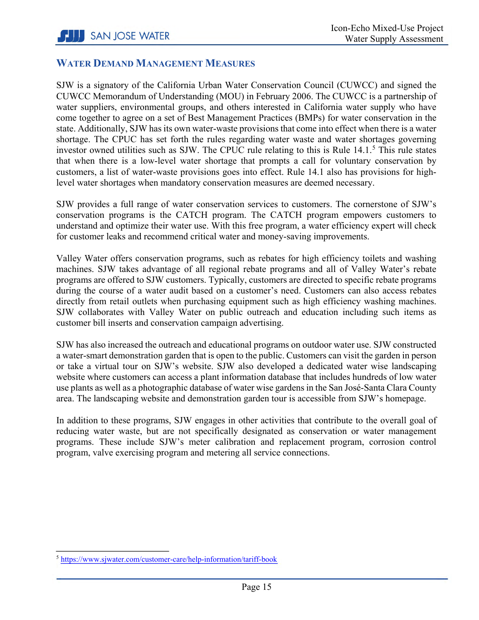#### **WATER DEMAND MANAGEMENT MEASURES**

SJW is a signatory of the California Urban Water Conservation Council (CUWCC) and signed the CUWCC Memorandum of Understanding (MOU) in February 2006. The CUWCC is a partnership of water suppliers, environmental groups, and others interested in California water supply who have come together to agree on a set of Best Management Practices (BMPs) for water conservation in the state. Additionally, SJW has its own water-waste provisions that come into effect when there is a water shortage. The CPUC has set forth the rules regarding water waste and water shortages governing investor owned utilities such as SJW. The CPUC rule relating to this is Rule 14.1. [5](#page-15-1) This rule states that when there is a low-level water shortage that prompts a call for voluntary conservation by customers, a list of water-waste provisions goes into effect. Rule 14.1 also has provisions for highlevel water shortages when mandatory conservation measures are deemed necessary.

SJW provides a full range of water conservation services to customers. The cornerstone of SJW's conservation programs is the CATCH program. The CATCH program empowers customers to understand and optimize their water use. With this free program, a water efficiency expert will check for customer leaks and recommend critical water and money-saving improvements.

Valley Water offers conservation programs, such as rebates for high efficiency toilets and washing machines. SJW takes advantage of all regional rebate programs and all of Valley Water's rebate programs are offered to SJW customers. Typically, customers are directed to specific rebate programs during the course of a water audit based on a customer's need. Customers can also access rebates directly from retail outlets when purchasing equipment such as high efficiency washing machines. SJW collaborates with Valley Water on public outreach and education including such items as customer bill inserts and conservation campaign advertising.

SJW has also increased the outreach and educational programs on outdoor water use. SJW constructed a water-smart demonstration garden that is open to the public. Customers can visit the garden in person or take a virtual tour on SJW's website. SJW also developed a dedicated water wise landscaping website where customers can access a plant information database that includes hundreds of low water use plants as well as a photographic database of water wise gardens in the San José-Santa Clara County area. The landscaping website and demonstration garden tour is accessible from SJW's homepage.

<span id="page-15-0"></span>In addition to these programs, SJW engages in other activities that contribute to the overall goal of reducing water waste, but are not specifically designated as conservation or water management programs. These include SJW's meter calibration and replacement program, corrosion control program, valve exercising program and metering all service connections.

<span id="page-15-1"></span>l <sup>5</sup> <https://www.sjwater.com/customer-care/help-information/tariff-book>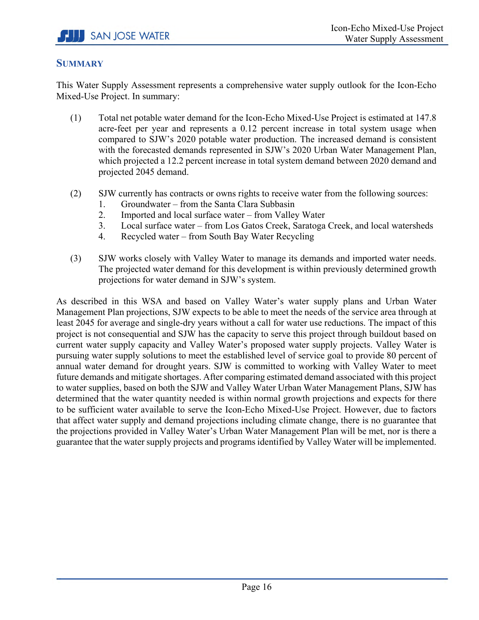#### **SUMMARY**

This Water Supply Assessment represents a comprehensive water supply outlook for the Icon-Echo Mixed-Use Project. In summary:

- (1) Total net potable water demand for the Icon-Echo Mixed-Use Project is estimated at 147.8 acre-feet per year and represents a 0.12 percent increase in total system usage when compared to SJW's 2020 potable water production. The increased demand is consistent with the forecasted demands represented in SJW's 2020 Urban Water Management Plan, which projected a 12.2 percent increase in total system demand between 2020 demand and projected 2045 demand.
- (2) SJW currently has contracts or owns rights to receive water from the following sources:
	- 1. Groundwater from the Santa Clara Subbasin
	- 2. Imported and local surface water from Valley Water
	- 3. Local surface water from Los Gatos Creek, Saratoga Creek, and local watersheds
	- 4. Recycled water from South Bay Water Recycling
- (3) SJW works closely with Valley Water to manage its demands and imported water needs. The projected water demand for this development is within previously determined growth projections for water demand in SJW's system.

As described in this WSA and based on Valley Water's water supply plans and Urban Water Management Plan projections, SJW expects to be able to meet the needs of the service area through at least 2045 for average and single-dry years without a call for water use reductions. The impact of this project is not consequential and SJW has the capacity to serve this project through buildout based on current water supply capacity and Valley Water's proposed water supply projects. Valley Water is pursuing water supply solutions to meet the established level of service goal to provide 80 percent of annual water demand for drought years. SJW is committed to working with Valley Water to meet future demands and mitigate shortages. After comparing estimated demand associated with this project to water supplies, based on both the SJW and Valley Water Urban Water Management Plans, SJW has determined that the water quantity needed is within normal growth projections and expects for there to be sufficient water available to serve the Icon-Echo Mixed-Use Project. However, due to factors that affect water supply and demand projections including climate change, there is no guarantee that the projections provided in Valley Water's Urban Water Management Plan will be met, nor is there a guarantee that the water supply projects and programs identified by Valley Water will be implemented.